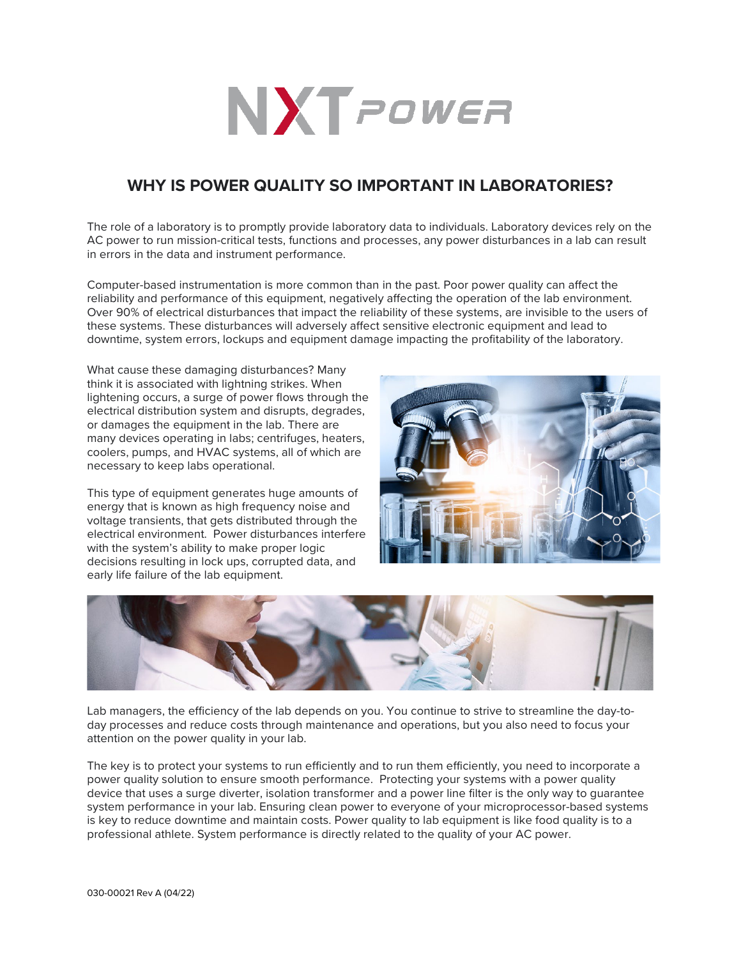

## **WHY IS POWER QUALITY SO IMPORTANT IN LABORATORIES?**

The role of a laboratory is to promptly provide laboratory data to individuals. Laboratory devices rely on the AC power to run mission-critical tests, functions and processes, any power disturbances in a lab can result in errors in the data and instrument performance.

Computer-based instrumentation is more common than in the past. Poor power quality can affect the reliability and performance of this equipment, negatively affecting the operation of the lab environment. Over 90% of electrical disturbances that impact the reliability of these systems, are invisible to the users of these systems. These disturbances will adversely affect sensitive electronic equipment and lead to downtime, system errors, lockups and equipment damage impacting the profitability of the laboratory.

What cause these damaging disturbances? Many think it is associated with lightning strikes. When lightening occurs, a surge of power flows through the electrical distribution system and disrupts, degrades, or damages the equipment in the lab. There are many devices operating in labs; centrifuges, heaters, coolers, pumps, and HVAC systems, all of which are necessary to keep labs operational.

This type of equipment generates huge amounts of energy that is known as high frequency noise and voltage transients, that gets distributed through the electrical environment. Power disturbances interfere with the system's ability to make proper logic decisions resulting in lock ups, corrupted data, and early life failure of the lab equipment.





Lab managers, the efficiency of the lab depends on you. You continue to strive to streamline the day-today processes and reduce costs through maintenance and operations, but you also need to focus your attention on the power quality in your lab.

The key is to protect your systems to run efficiently and to run them efficiently, you need to incorporate a power quality solution to ensure smooth performance. Protecting your systems with a power quality device that uses a surge diverter, isolation transformer and a power line filter is the only way to guarantee system performance in your lab. Ensuring clean power to everyone of your microprocessor-based systems is key to reduce downtime and maintain costs. Power quality to lab equipment is like food quality is to a professional athlete. System performance is directly related to the quality of your AC power.